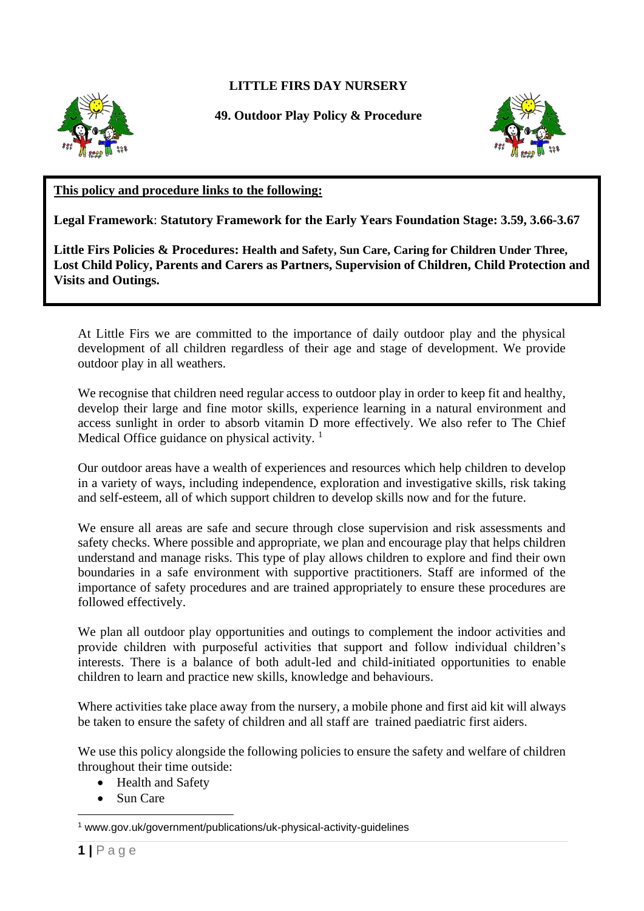## **LITTLE FIRS DAY NURSERY**



**49. Outdoor Play Policy & Procedure**



## **This policy and procedure links to the following:**

**Legal Framework**: **Statutory Framework for the Early Years Foundation Stage: 3.59, 3.66-3.67**

**Little Firs Policies & Procedures: Health and Safety, Sun Care, Caring for Children Under Three, Lost Child Policy, Parents and Carers as Partners, Supervision of Children, Child Protection and Visits and Outings.** 

At Little Firs we are committed to the importance of daily outdoor play and the physical development of all children regardless of their age and stage of development. We provide outdoor play in all weathers.

We recognise that children need regular access to outdoor play in order to keep fit and healthy, develop their large and fine motor skills, experience learning in a natural environment and access sunlight in order to absorb vitamin D more effectively. We also refer to The Chief Medical Office guidance on physical activity.  $1$ 

Our outdoor areas have a wealth of experiences and resources which help children to develop in a variety of ways, including independence, exploration and investigative skills, risk taking and self-esteem, all of which support children to develop skills now and for the future.

We ensure all areas are safe and secure through close supervision and risk assessments and safety checks. Where possible and appropriate, we plan and encourage play that helps children understand and manage risks. This type of play allows children to explore and find their own boundaries in a safe environment with supportive practitioners. Staff are informed of the importance of safety procedures and are trained appropriately to ensure these procedures are followed effectively.

We plan all outdoor play opportunities and outings to complement the indoor activities and provide children with purposeful activities that support and follow individual children's interests. There is a balance of both adult-led and child-initiated opportunities to enable children to learn and practice new skills, knowledge and behaviours.

Where activities take place away from the nursery, a mobile phone and first aid kit will always be taken to ensure the safety of children and all staff are trained paediatric first aiders.

We use this policy alongside the following policies to ensure the safety and welfare of children throughout their time outside:

- Health and Safety
- Sun Care

<sup>1</sup> www.gov.uk/government/publications/uk-physical-activity-guidelines